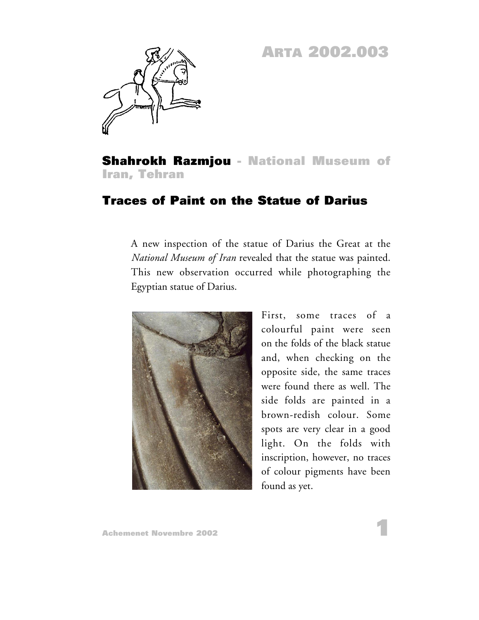## **ARTA 2002.003**



**Shahrokh Razmjou - National Museum of Iran, Tehran**

## **Traces of Paint on the Statue of Darius**

A new inspection of the statue of Darius the Great at the *National Museum of Iran* revealed that the statue was painted. This new observation occurred while photographing the Egyptian statue of Darius.



First, some traces of a colourful paint were seen on the folds of the black statue and, when checking on the opposite side, the same traces were found there as well. The side folds are painted in a brown-redish colour. Some spots are very clear in a good light. On the folds with inscription, however, no traces of colour pigments have been found as yet.

**1**

**Achemenet Novembre 2002**